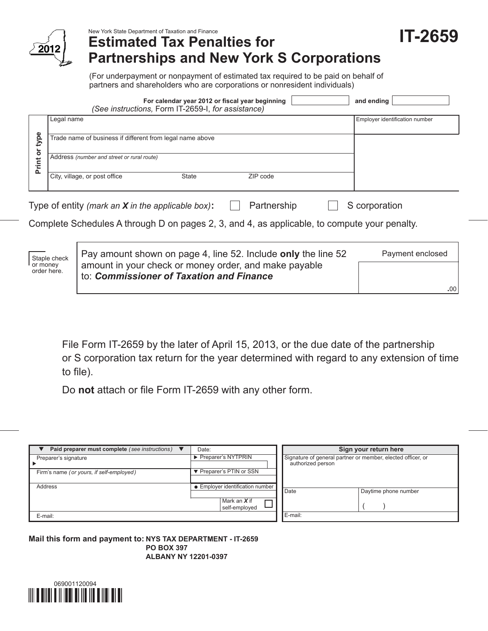

New York State Department of Taxation and Finance

## **Estimated Tax Penalties for Partnerships and New York S Corporations**

**IT-2659**

**.**00

(For underpayment or nonpayment of estimated tax required to be paid on behalf of partners and shareholders who are corporations or nonresident individuals)

|                                                                                                                                                                                       | For calendar year 2012 or fiscal year beginning<br>(See instructions, Form IT-2659-I, for assistance) | and ending                     |  |  |  |
|---------------------------------------------------------------------------------------------------------------------------------------------------------------------------------------|-------------------------------------------------------------------------------------------------------|--------------------------------|--|--|--|
|                                                                                                                                                                                       | Legal name                                                                                            | Employer identification number |  |  |  |
| type                                                                                                                                                                                  | Trade name of business if different from legal name above                                             |                                |  |  |  |
| $\overline{\sigma}$<br><b>Print</b>                                                                                                                                                   | Address (number and street or rural route)                                                            |                                |  |  |  |
|                                                                                                                                                                                       | City, village, or post office<br>State<br>ZIP code                                                    |                                |  |  |  |
| Partnership<br>Type of entity (mark an $X$ in the applicable box):<br>S corporation                                                                                                   |                                                                                                       |                                |  |  |  |
|                                                                                                                                                                                       | Complete Schedules A through D on pages 2, 3, and 4, as applicable, to compute your penalty.          |                                |  |  |  |
| Pay amount shown on page 4, line 52. Include only the line 52<br>Payment enclosed<br>Staple check<br>amount in your check or money order, and make payable<br>or money<br>order here. |                                                                                                       |                                |  |  |  |

File Form IT‑2659 by the later of April 15, 2013, or the due date of the partnership or S corporation tax return for the year determined with regard to any extension of time to file).

Do **not** attach or file Form IT‑2659 with any other form.

to: *Commissioner of Taxation and Finance*

| Paid preparer must complete (see instructions) $\blacktriangledown$ | Date:                            |                                                                                  | Sign your return here |  |  |
|---------------------------------------------------------------------|----------------------------------|----------------------------------------------------------------------------------|-----------------------|--|--|
| Preparer's signature                                                | ▶ Preparer's NYTPRIN             | Signature of general partner or member, elected officer, or<br>authorized person |                       |  |  |
| Firm's name (or yours, if self-employed)                            | ▼ Preparer's PTIN or SSN         |                                                                                  |                       |  |  |
| Address                                                             | • Employer identification number | Date                                                                             | Daytime phone number  |  |  |
|                                                                     | Mark an $X$ if<br>self-employed  |                                                                                  |                       |  |  |
| E-mail:                                                             |                                  | E-mail:                                                                          |                       |  |  |

**Mail this form and payment to: NYS TAX DEPARTMENT - IT-2659 PO BOX 397 ALBANY NY 12201-0397**

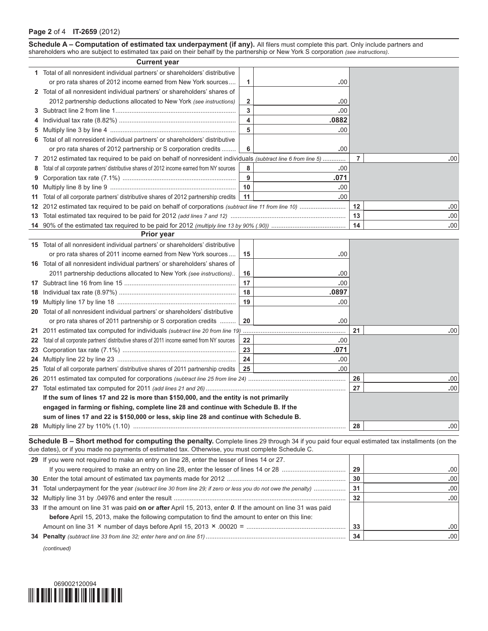**Schedule A – Computation of estimated tax underpayment (if any).** All filers must complete this part. Only include partners and shareholders who are subject to estimated tax paid on their behalf by the partnership or New York S corporation *(see instructions)*.

|   | <b>Current year</b>                                                                                         |                         |       |                |     |
|---|-------------------------------------------------------------------------------------------------------------|-------------------------|-------|----------------|-----|
|   | 1 Total of all nonresident individual partners' or shareholders' distributive                               |                         |       |                |     |
|   | or pro rata shares of 2012 income earned from New York sources                                              | 1                       | .00   |                |     |
|   | 2 Total of all nonresident individual partners' or shareholders' shares of                                  |                         |       |                |     |
|   | 2012 partnership deductions allocated to New York (see instructions)                                        | $\overline{\mathbf{2}}$ | .00   |                |     |
|   |                                                                                                             | 3                       | .00   |                |     |
|   |                                                                                                             | 4                       | .0882 |                |     |
|   |                                                                                                             | 5                       | .00   |                |     |
|   | 6 Total of all nonresident individual partners' or shareholders' distributive                               |                         |       |                |     |
|   | or pro rata shares of 2012 partnership or S corporation credits                                             | 6                       | .00   |                |     |
|   | 7 2012 estimated tax required to be paid on behalf of nonresident individuals (subtract line 6 from line 5) |                         |       | $\overline{7}$ | .00 |
|   | 8 Total of all corporate partners' distributive shares of 2012 income earned from NY sources                | 8                       | .00   |                |     |
| 9 |                                                                                                             | 9                       | .071  |                |     |
|   |                                                                                                             | 10                      | .00   |                |     |
|   | 11 Total of all corporate partners' distributive shares of 2012 partnership credits                         | 11                      | .00   |                |     |
|   |                                                                                                             |                         |       | 12             | .00 |
|   |                                                                                                             |                         | 13    | .00            |     |
|   |                                                                                                             |                         |       | 14             | .00 |
|   | <b>Prior year</b>                                                                                           |                         |       |                |     |
|   | 15 Total of all nonresident individual partners' or shareholders' distributive                              |                         |       |                |     |
|   | or pro rata shares of 2011 income earned from New York sources                                              | 15                      | .00   |                |     |
|   | 16 Total of all nonresident individual partners' or shareholders' shares of                                 |                         |       |                |     |
|   | 2011 partnership deductions allocated to New York (see instructions)                                        | 16                      | .00   |                |     |
|   |                                                                                                             | 17                      | .00   |                |     |
|   |                                                                                                             | 18                      | .0897 |                |     |
|   |                                                                                                             | 19                      | .00   |                |     |
|   | 20 Total of all nonresident individual partners' or shareholders' distributive                              |                         |       |                |     |
|   | or pro rata shares of 2011 partnership or S corporation credits                                             | 20                      | .00   |                |     |
|   | 21 2011 estimated tax computed for individuals (subtract line 20 from line 19)                              |                         |       | 21             | .00 |
|   | 22 Total of all corporate partners' distributive shares of 2011 income earned from NY sources               | 22                      | .00   |                |     |
|   |                                                                                                             | 23                      | .071  |                |     |
|   |                                                                                                             | 24                      | .00   |                |     |
|   | 25 Total of all corporate partners' distributive shares of 2011 partnership credits                         | 25                      | .00   |                |     |
|   |                                                                                                             |                         |       | 26             | .00 |
|   |                                                                                                             |                         |       | 27             | .00 |
|   | If the sum of lines 17 and 22 is more than \$150,000, and the entity is not primarily                       |                         |       |                |     |
|   | engaged in farming or fishing, complete line 28 and continue with Schedule B. If the                        |                         |       |                |     |

**Schedule B – Short method for computing the penalty.** Complete lines 29 through 34 if you paid four equal estimated tax installments (on the due dates), or if you made no payments of estimated tax. Otherwise, you must complete Schedule C.

Multiply line 27 by 110% (1.10) ........................................................................................................................ **28 .**00

**sum of lines 17 and 22 is \$150,000 or less, skip line 28 and continue with Schedule B.**

| 29 If you were not required to make an entry on line 28, enter the lesser of lines 14 or 27.                   |                |     |
|----------------------------------------------------------------------------------------------------------------|----------------|-----|
|                                                                                                                | 29             | .00 |
|                                                                                                                | 30             | .00 |
| 31 Total underpayment for the year (subtract line 30 from line 29; if zero or less you do not owe the penalty) | 3 <sup>1</sup> | .00 |
|                                                                                                                | 32             | .00 |
| 33 If the amount on line 31 was paid on or after April 15, 2013, enter 0. If the amount on line 31 was paid    |                |     |
| before April 15, 2013, make the following computation to find the amount to enter on this line:                |                |     |
|                                                                                                                | 33             | .00 |
|                                                                                                                | 34             | .00 |

*(continued)*

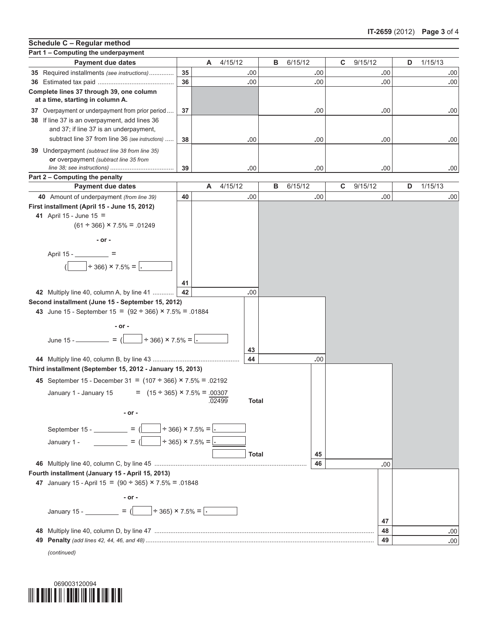## **Part 1 – Computing the underpayment Payment due dates A** 4/15/12 **B** 6/15/12 **C** 9/15/12 **D** 1/15/13 **35** Required installments *(see instructions)*.............. **35 .**00 **.**00 **.**00 **.**00 **36** Estimated tax paid ........................................... **36 .**00 **.**00 **.**00 **.**00 **Complete lines 37 through 39, one column at a time, starting in column A. 37** Overpayment or underpayment from prior period.... **37 .**00 **.**00 **.**00 **38** If line 37 is an overpayment, add lines 36 and 37; if line 37 is an underpayment, subtract line 37 from line 36 *(see instructions)* ..... **38 .**00 **.**00 **.**00 **.**00 **39** Underpayment *(subtract line 38 from line 35)* **or** overpayment *(subtract line 35 from line 38; see instructions)* .................................... **39 .**00 **.**00 **.**00 **.**00 **Part 2 – Computing the penalty 40** Amount of underpayment *(from line 39)* **40 .**00 **.**00 **.**00 **.**00 **First installment (April 15 - June 15, 2012) 41** April 15 - June 15 =  $(61 \div 366) \times 7.5\% = .01249$ **- or -** April 15 - = ( ÷ 366) × 7.5% = **. 41 42** Multiply line 40, column A, by line 41 ............ **42 .**00 **Second installment (June 15 - September 15, 2012) 43** June 15 - September 15 =  $(92 \div 366) \times 7.5\% = .01884$ **- or -**  $\frac{\text{June } 15 - \dots}{\text{Line } 15 - \dots} = \frac{1}{2}$  =  $\frac{1}{2}$  ÷ 366) × 7.5% = **43 44** Multiply line 40, column B, by line 43 ................................................. **44 .**00 **Third installment (September 15, 2012 - January 15, 2013) 45** September 15 - December 31 =  $(107 \div 366) \times 7.5\% = .02192$ January 1 - January 15 =  $(15 \div 365) \times 7.5\% = .00307$  .02499 **Total - or -** September 15 -  $\qquad$  =  $\qquad$   $\qquad$  =  $\qquad$   $\qquad$   $\qquad$   $\qquad$   $\qquad$   $\qquad$   $\qquad$   $\qquad$   $\qquad$   $\qquad$   $\qquad$   $\qquad$   $\qquad$   $\qquad$   $\qquad$   $\qquad$   $\qquad$   $\qquad$   $\qquad$   $\qquad$   $\qquad$   $\qquad$   $\qquad$   $\qquad$   $\qquad$   $\qquad$   $\qquad$   $\qquad$   $\qquad$   $\qquad$   $\qquad$ January 1 - = ( ÷ 365) × 7.5% = **. Total 45 46** Multiply line 40, column C, by line 45 ...................................................................................... **46 .**00 **Fourth installment (January 15 - April 15, 2013) 47** January 15 - April 15 =  $(90 \div 365) \times 7.5\% = .01848$ **- or - January 15 - \_\_\_\_\_\_\_\_\_ =**  $\left(\frac{}{}$  **+ 365) × 7.5% =**  $\cdot$ **47 48** Multiply line 40, column D, by line 47 ............................................................................................................................ **48 .**00 **49 Penalty** *(add lines 42, 44, 46, and 48)* ................................................................................................................................. **49 .**00 **Schedule C – Regular method Payment due dates A** 4/15/12 **B** 6/15/12 **C** 9/15/12 **D** 1/15/13

*(continued)*